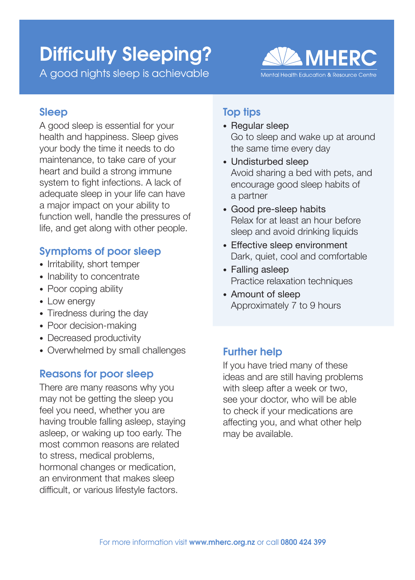# Difficulty Sleeping?

A good nights sleep is achievable



## Sleep

A good sleep is essential for your health and happiness. Sleep gives your body the time it needs to do maintenance, to take care of your heart and build a strong immune system to fight infections. A lack of adequate sleep in your life can have a major impact on your ability to function well, handle the pressures of life, and get along with other people.

## Symptoms of poor sleep

- Irritability, short temper
- Inability to concentrate
- Poor coping ability
- Low energy
- Tiredness during the day
- Poor decision-making
- Decreased productivity
- Overwhelmed by small challenges

#### Reasons for poor sleep

There are many reasons why you may not be getting the sleep you feel you need, whether you are having trouble falling asleep, staying asleep, or waking up too early. The most common reasons are related to stress, medical problems, hormonal changes or medication, an environment that makes sleep difficult, or various lifestyle factors.

### Top tips

- Regular sleep Go to sleep and wake up at around the same time every day
- Undisturbed sleep Avoid sharing a bed with pets, and encourage good sleep habits of a partner
- Good pre-sleep habits Relax for at least an hour before sleep and avoid drinking liquids
- Effective sleep environment Dark, quiet, cool and comfortable
- Falling asleep Practice relaxation techniques
- Amount of sleep Approximately 7 to 9 hours

#### Further help

If you have tried many of these ideas and are still having problems with sleep after a week or two, see your doctor, who will be able to check if your medications are affecting you, and what other help may be available.